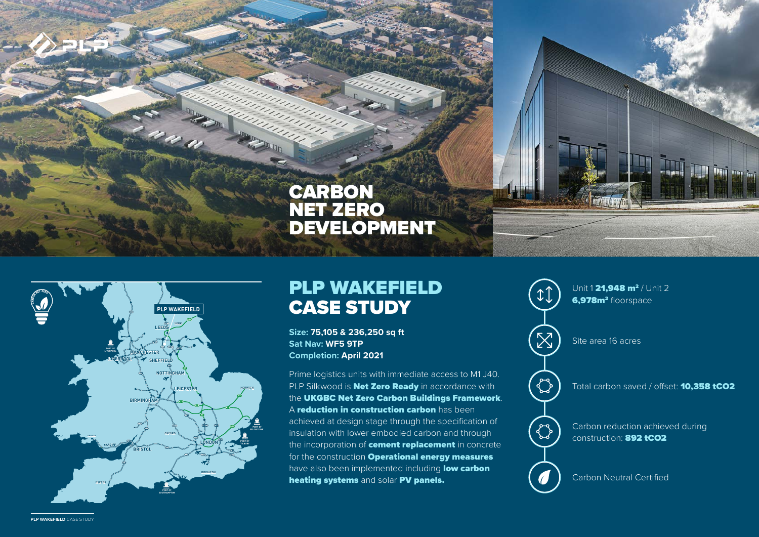



## PLP WAKEFIELD CASE STUDY

**Size: 75,105 & 236,250 sq ft Sat Nav: WF5 9TP Completion: April 2021** 

Prime logistics units with immediate access to M1 J40. PLP Silkwood is **Net Zero Ready** in accordance with the UKGBC Net Zero Carbon Buildings Framework. A reduction in construction carbon has been achieved at design stage through the specification of insulation with lower embodied carbon and through the incorporation of **cement replacement** in concrete for the construction **Operational energy measures** have also been implemented including low carbon heating systems and solar PV panels. Carbon Neutral Certified



**PLP WAKEFIELD** CASE STUDY